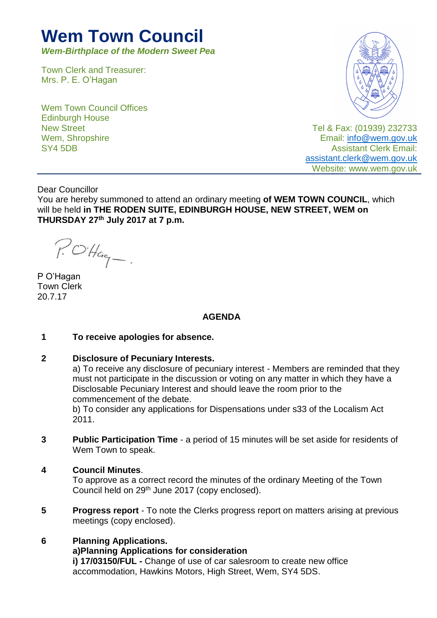# **Wem Town Council**

*Wem-Birthplace of the Modern Sweet Pea*

Town Clerk and Treasurer: Mrs. P. E. O'Hagan

Wem Town Council Offices Edinburgh House New Street Wem, Shropshire SY4 5DB



Tel & Fax: (01939) 232733 Email: [info@wem.gov.uk](mailto:info@wem.gov.uk) Assistant Clerk Email: [assistant.clerk@wem.gov.uk](mailto:assistant.clerk@wem.gov.uk) Website: www.wem.gov.uk

Dear Councillor

You are hereby summoned to attend an ordinary meeting **of WEM TOWN COUNCIL**, which will be held **in THE RODEN SUITE, EDINBURGH HOUSE, NEW STREET, WEM on THURSDAY 27th July 2017 at 7 p.m.**

 $P. O H_{q-1}$ 

P O'Hagan Town Clerk 20.7.17

# **AGENDA**

#### **1 To receive apologies for absence.**

**2 Disclosure of Pecuniary Interests.**

a) To receive any disclosure of pecuniary interest - Members are reminded that they must not participate in the discussion or voting on any matter in which they have a Disclosable Pecuniary Interest and should leave the room prior to the commencement of the debate.

b) To consider any applications for Dispensations under s33 of the Localism Act 2011.

- **3 Public Participation Time** a period of 15 minutes will be set aside for residents of Wem Town to speak.
- **4 Council Minutes**.

To approve as a correct record the minutes of the ordinary Meeting of the Town Council held on 29<sup>th</sup> June 2017 (copy enclosed).

**5 Progress report** - To note the Clerks progress report on matters arising at previous meetings (copy enclosed).

# **6 Planning Applications.**

**a)Planning Applications for consideration** 

**i) 17/03150/FUL -** Change of use of car salesroom to create new office accommodation, Hawkins Motors, High Street, Wem, SY4 5DS.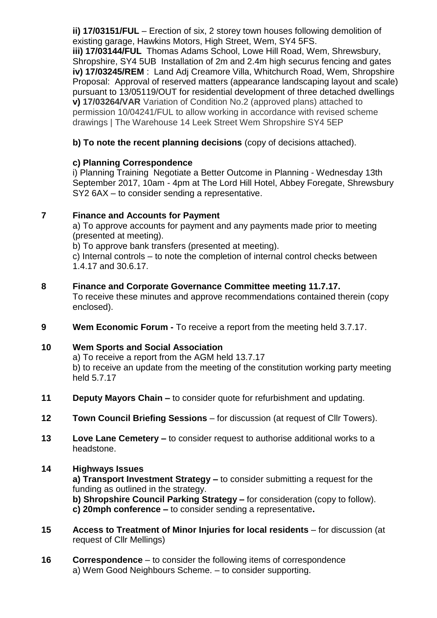**ii) 17/03151/FUL** – Erection of six, 2 storey town houses following demolition of existing garage, Hawkins Motors, High Street, Wem, SY4 5FS. **iii) 17/03144/FUL** Thomas Adams School, Lowe Hill Road, Wem, Shrewsbury, Shropshire, SY4 5UB Installation of 2m and 2.4m high securus fencing and gates **iv) 17/03245/REM** : Land Adj Creamore Villa, Whitchurch Road, Wem, Shropshire Proposal: Approval of reserved matters (appearance landscaping layout and scale) pursuant to 13/05119/OUT for residential development of three detached dwellings **v) 17/03264/VAR** Variation of Condition No.2 (approved plans) attached to permission 10/04241/FUL to allow working in accordance with revised scheme drawings | The Warehouse 14 Leek Street Wem Shropshire SY4 5EP

# **b) To note the recent planning decisions** (copy of decisions attached).

# **c) Planning Correspondence**

i) Planning Training Negotiate a Better Outcome in Planning - Wednesday 13th September 2017, 10am - 4pm at The Lord Hill Hotel, Abbey Foregate, Shrewsbury SY2 6AX – to consider sending a representative.

# **7 Finance and Accounts for Payment**

a) To approve accounts for payment and any payments made prior to meeting (presented at meeting).

b) To approve bank transfers (presented at meeting).

c) Internal controls – to note the completion of internal control checks between 1.4.17 and 30.6.17.

#### **8 Finance and Corporate Governance Committee meeting 11.7.17.**

To receive these minutes and approve recommendations contained therein (copy enclosed).

**9 Wem Economic Forum -** To receive a report from the meeting held 3.7.17.

# **10 Wem Sports and Social Association**

a) To receive a report from the AGM held 13.7.17 b) to receive an update from the meeting of the constitution working party meeting held 5.7.17

- **11 Deputy Mayors Chain –** to consider quote for refurbishment and updating.
- **12 Town Council Briefing Sessions** for discussion (at request of Cllr Towers).
- **13 Love Lane Cemetery –** to consider request to authorise additional works to a headstone.

# **14 Highways Issues**

**a) Transport Investment Strategy –** to consider submitting a request for the funding as outlined in the strategy.

**b) Shropshire Council Parking Strategy –** for consideration (copy to follow).

**c) 20mph conference –** to consider sending a representative**.**

- **15 Access to Treatment of Minor Injuries for local residents** for discussion (at request of Cllr Mellings)
- **16 Correspondence** to consider the following items of correspondence a) Wem Good Neighbours Scheme. – to consider supporting.